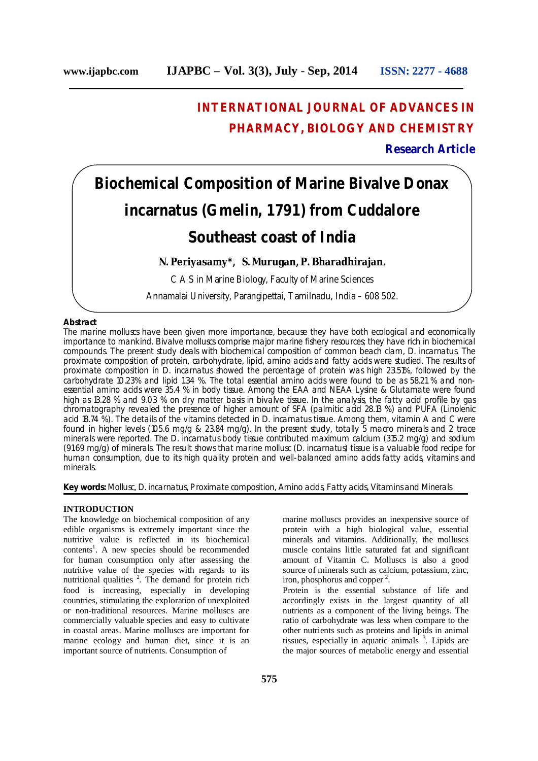# **INTERNATIONAL JOURNAL OF ADVANCES IN PHARMACY, BIOLOGY AND CHEMISTRY**

# **Research Article**

# **Biochemical Composition of Marine Bivalve** *Donax incarnatus* **(Gmelin, 1791) from Cuddalore Southeast coast of India**

**N. Periyasamy\*, S. Murugan, P. Bharadhirajan.**

C A S in Marine Biology, Faculty of Marine Sciences

Annamalai University, Parangipettai, Tamilnadu, India – 608 502.

## **Abstract**

The marine molluscs have been given more importance, because they have both ecological and economically importance to mankind. Bivalve molluscs comprise major marine fishery resources; they have rich in biochemical compounds. The present study deals with biochemical composition of common beach clam, *D. incarnatus*. The proximate composition of protein, carbohydrate, lipid, amino acids and fatty acids were studied. The results of proximate composition in *D. incarnatus* showed the percentage of protein was high 23.51%, followed by the carbohydrate 10.23% and lipid 1.34 %. The total essential amino acids were found to be as 58.21 % and nonessential amino acids were 35.4 % in body tissue. Among the EAA and NEAA Lysine & Glutamate were found high as 13.28 % and 9.03 % on dry matter basis in bivalve tissue. In the analysis, the fatty acid profile by gas chromatography revealed the presence of higher amount of SFA (palmitic acid 28.13 %) and PUFA (Linolenic acid 18.74 %). The details of the vitamins detected in *D. incarnatus* tissue. Among them, vitamin A and C were found in higher levels (105.6 mg/g & 23.84 mg/g). In the present study, totally 5 macro minerals and 2 trace minerals were reported. The *D. incarnatus* body tissue contributed maximum calcium (315.2 mg/g) and sodium (91.69 mg/g) of minerals. The result shows that marine mollusc (*D. incarnatus*) tissue is a valuable food recipe for human consumption, due to its high quality protein and well-balanced amino acids fatty acids, vitamins and minerals.

**Key words:** Mollusc*, D. incarnatus*, Proximate composition, Amino acids, Fatty acids, Vitamins and Minerals

# **INTRODUCTION**

The knowledge on biochemical composition of any edible organisms is extremely important since the nutritive value is reflected in its biochemical contents 1 . A new species should be recommended for human consumption only after assessing the nutritive value of the species with regards to its nutritional qualities<sup>2</sup>. The demand for protein rich food is increasing, especially in developing countries, stimulating the exploration of unexploited or non-traditional resources. Marine molluscs are commercially valuable species and easy to cultivate in coastal areas. Marine molluscs are important for marine ecology and human diet, since it is an important source of nutrients. Consumption of

marine molluscs provides an inexpensive source of protein with a high biological value, essential minerals and vitamins. Additionally, the molluscs muscle contains little saturated fat and significant amount of Vitamin C. Molluscs is also a good source of minerals such as calcium, potassium, zinc, iron, phosphorus and copper 2 .

Protein is the essential substance of life and accordingly exists in the largest quantity of all nutrients as a component of the living beings. The ratio of carbohydrate was less when compare to the other nutrients such as proteins and lipids in animal tissues, especially in aquatic animals  $3$ . Lipids are the major sources of metabolic energy and essential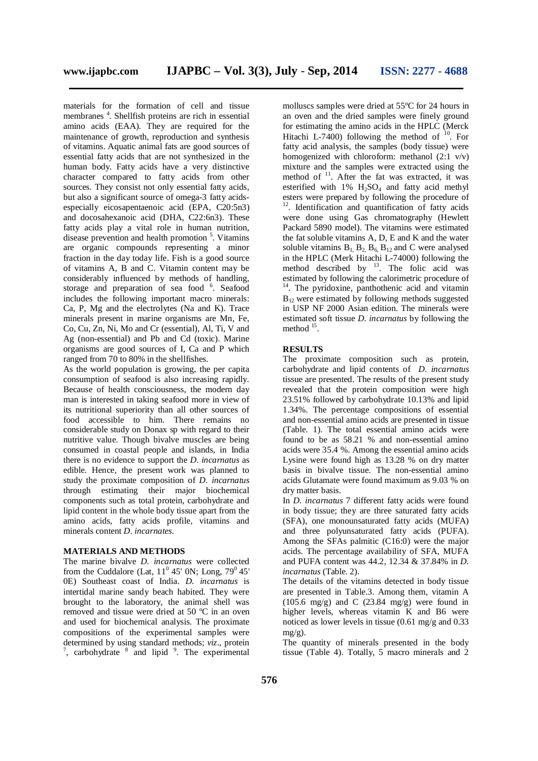materials for the formation of cell and tissue membranes 4 . Shellfish proteins are rich in essential amino acids (EAA). They are required for the maintenance of growth, reproduction and synthesis of vitamins. Aquatic animal fats are good sources of essential fatty acids that are not synthesized in the human body. Fatty acids have a very distinctive character compared to fatty acids from other sources. They consist not only essential fatty acids, but also a significant source of omega-3 fatty acidsespecially eicosapentaenoic acid (EPA, C20:5n3) and docosahexanoic acid (DHA, C22:6n3). These fatty acids play a vital role in human nutrition, disease prevention and health promotion 5 . Vitamins are organic compounds representing a minor fraction in the day today life. Fish is a good source of vitamins A, B and C. Vitamin content may be considerably influenced by methods of handling, storage and preparation of sea food <sup>6</sup>. Seafood includes the following important macro minerals: Ca, P, Mg and the electrolytes (Na and K). Trace minerals present in marine organisms are Mn, Fe, Co, Cu, Zn, Ni, Mo and Cr (essential), Al, Ti, V and Ag (non-essential) and Pb and Cd (toxic). Marine organisms are good sources of I, Ca and P which ranged from 70 to 80% in the shellfishes.

As the world population is growing, the per capita consumption of seafood is also increasing rapidly. Because of health consciousness, the modern day man is interested in taking seafood more in view of its nutritional superiority than all other sources of food accessible to him. There remains no considerable study on Donax sp with regard to their nutritive value. Though bivalve muscles are being consumed in coastal people and islands, in India there is no evidence to support the *D. incarnatus* as edible. Hence, the present work was planned to study the proximate composition of *D. incarnatus* their major biochemical components such as total protein, carbohydrate and lipid content in the whole body tissue apart from the amino acids, fatty acids profile, vitamins and minerals content *D. incarnates*.

### **MATERIALS AND METHODS**

The marine bivalve *D. incarnatus* were collected from the Cuddalore (Lat,  $11^{\circ}$  45' 0N; Long,  $79^{\circ}$  45' 0E) Southeast coast of India. *D. incarnatus* is intertidal marine sandy beach habited. They were brought to the laboratory, the animal shell was removed and tissue were dried at 50 ºC in an oven and used for biochemical analysis. The proximate compositions of the experimental samples were determined by using standard methods; *viz*., protein  $7$ , carbohydrate  $8$  and lipid  $9$ . The experimental

molluscs samples were dried at 55ºC for 24 hours in an oven and the dried samples were finely ground for estimating the amino acids in the HPLC (Merck Hitachi L-7400) following the method of  $^{10}$ . For fatty acid analysis, the samples (body tissue) were homogenized with chloroform: methanol (2:1 v/v) mixture and the samples were extracted using the method of <sup>11</sup>. After the fat was extracted, it was esterified with  $1\%$  H<sub>2</sub>SO<sub>4</sub> and fatty acid methyl esters were prepared by following the procedure of <sup>12</sup>. Identification and quantification of fatty acids were done using Gas chromatography (Hewlett Packard 5890 model). The vitamins were estimated the fat soluble vitamins A, D, E and K and the water soluble vitamins  $B_1$ ,  $B_2$ ,  $B_6$ ,  $B_{12}$  and C were analysed in the HPLC (Merk Hitachi L-74000) following the method described by  $^{13}$ . The folic acid was estimated by following the calorimetric procedure of <sup>14</sup>. The pyridoxine, panthothenic acid and vitamin  $B_{12}$  were estimated by following methods suggested in USP NF 2000 Asian edition. The minerals were estimated soft tissue *D. incarnatus* by following the method <sup>15</sup>.

#### **RESULTS**

The proximate composition such as protein, carbohydrate and lipid contents of *D. incarnatus* tissue are presented. The results of the present study revealed that the protein composition were high 23.51% followed by carbohydrate 10.13% and lipid 1.34%. The percentage compositions of essential and non-essential amino acids are presented in tissue (Table. 1). The total essential amino acids were found to be as 58.21 % and non-essential amino acids were 35.4 %. Among the essential amino acids Lysine were found high as 13.28 % on dry matter basis in bivalve tissue. The non-essential amino acids Glutamate were found maximum as 9.03 % on dry matter basis.

In *D. incarnatus* 7 different fatty acids were found in body tissue; they are three saturated fatty acids (SFA), one monounsaturated fatty acids (MUFA) and three polyunsaturated fatty acids (PUFA). Among the SFAs palmitic (C16:0) were the major acids. The percentage availability of SFA, MUFA and PUFA content was 44.2, 12.34 & 37.84% in *D. incarnatus* (Table. 2).

The details of the vitamins detected in body tissue are presented in Table.3. Among them, vitamin A  $(105.6 \text{ mg/g})$  and C  $(23.84 \text{ mg/g})$  were found in higher levels, whereas vitamin K and B6 were noticed as lower levels in tissue (0.61 mg/g and 0.33  $m\varrho/\varrho$ ).

The quantity of minerals presented in the body tissue (Table 4). Totally, 5 macro minerals and 2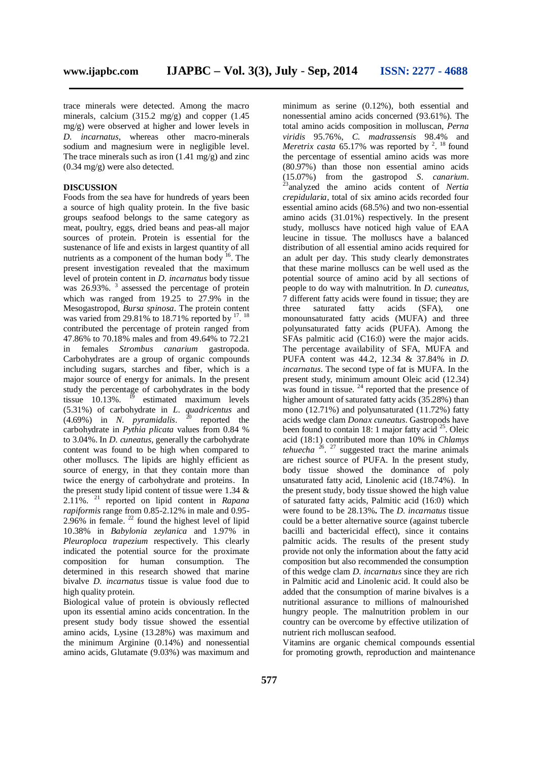trace minerals were detected. Among the macro minerals, calcium (315.2 mg/g) and copper (1.45 mg/g) were observed at higher and lower levels in *D. incarnatus*, whereas other macro-minerals sodium and magnesium were in negligible level. The trace minerals such as iron  $(1.41 \text{ mg/g})$  and zinc (0.34 mg/g) were also detected.

# **DISCUSSION**

Foods from the sea have for hundreds of years been a source of high quality protein. In the five basic groups seafood belongs to the same category as meat, poultry, eggs, dried beans and peas-all major sources of protein. Protein is essential for the sustenance of life and exists in largest quantity of all nutrients as a component of the human body <sup>16</sup>. The present investigation revealed that the maximum level of protein content in *D. incarnatus* body tissue was 26.93%.<sup>3</sup> assessed the percentage of protein which was ranged from 19.25 to 27.9% in the Mesogastropod, *Bursa spinosa*. The protein content was varied from 29.81% to 18.71% reported by  $17.18$ contributed the percentage of protein ranged from 47.86% to 70.18% males and from 49.64% to 72.21 in females *Strombus canarium* gastropoda. Carbohydrates are a group of organic compounds including sugars, starches and fiber, which is a major source of energy for animals. In the present study the percentage of carbohydrates in the body tissue  $10.13\%$ . <sup>19</sup> estimated maximum levels (5.31%) of carbohydrate in *L. quadricentus* and (4.69%) in *N. pyramidalis*. 20 reported the carbohydrate in *Pythia plicata* values from 0.84 % to 3.04%. In *D. cuneatus,* generally the carbohydrate content was found to be high when compared to other molluscs. The lipids are highly efficient as source of energy, in that they contain more than twice the energy of carbohydrate and proteins. In the present study lipid content of tissue were 1.34 & 2.11%. 21 reported on lipid content in *Rapana rapiformis* range from 0.85-2.12% in male and 0.95-2.96% in female.  $2^{2}$  found the highest level of lipid 10.38% in *Babylonia zeylanica* and 1.97% in *Pleuroploca trapezium* respectively. This clearly indicated the potential source for the proximate composition for human consumption. The determined in this research showed that marine bivalve *D. incarnatus* tissue is value food due to high quality protein.

Biological value of protein is obviously reflected upon its essential amino acids concentration. In the present study body tissue showed the essential amino acids, Lysine (13.28%) was maximum and the minimum Arginine (0.14%) and nonessential amino acids, Glutamate (9.03%) was maximum and minimum as serine (0.12%), both essential and nonessential amino acids concerned (93.61%). The total amino acids composition in molluscan, *Perna viridis* 95.76%, *C. madrassensis* 98.4% and *Meretrix casta* 65.17% was reported by <sup>2</sup>. <sup>18</sup> found the percentage of essential amino acids was more (80.97%) than those non essential amino acids (15.07%) from the gastropod *S. canarium*. 23 analyzed the amino acids content of *Nertia crepidularia*, total of six amino acids recorded four essential amino acids (68.5%) and two non-essential amino acids (31.01%) respectively. In the present study, molluscs have noticed high value of EAA leucine in tissue. The molluscs have a balanced distribution of all essential amino acids required for an adult per day. This study clearly demonstrates that these marine molluscs can be well used as the potential source of amino acid by all sections of people to do way with malnutrition. In *D. cuneatus,* 7 different fatty acids were found in tissue; they are three saturated fatty acids (SFA), one monounsaturated fatty acids (MUFA) and three polyunsaturated fatty acids (PUFA). Among the SFAs palmitic acid (C16:0) were the major acids. The percentage availability of SFA, MUFA and PUFA content was 44.2, 12.34 & 37.84% in *D. incarnatus*. The second type of fat is MUFA. In the present study, minimum amount Oleic acid (12.34) was found in tissue.<sup>24</sup> reported that the presence of higher amount of saturated fatty acids (35.28%) than mono (12.71%) and polyunsaturated  $(11.72%)$  fatty acids wedge clam *Donax cuneatus*. Gastropods have been found to contain 18: 1 major fatty acid<sup>25</sup>. Oleic acid (18:1) contributed more than 10% in *Chlamys tehuecha* 26 . 27 suggested tract the marine animals are richest source of PUFA. In the present study, body tissue showed the dominance of poly unsaturated fatty acid, Linolenic acid (18.74%). In the present study, body tissue showed the high value of saturated fatty acids, Palmitic acid (16:0) which were found to be 28.13%**.** The *D. incarnatus* tissue could be a better alternative source (against tubercle bacilli and bactericidal effect), since it contains palmitic acids. The results of the present study provide not only the information about the fatty acid composition but also recommended the consumption of this wedge clam *D. incarnatus* since they are rich in Palmitic acid and Linolenic acid. It could also be added that the consumption of marine bivalves is a nutritional assurance to millions of malnourished hungry people. The malnutrition problem in our country can be overcome by effective utilization of nutrient rich molluscan seafood.

Vitamins are organic chemical compounds essential for promoting growth, reproduction and maintenance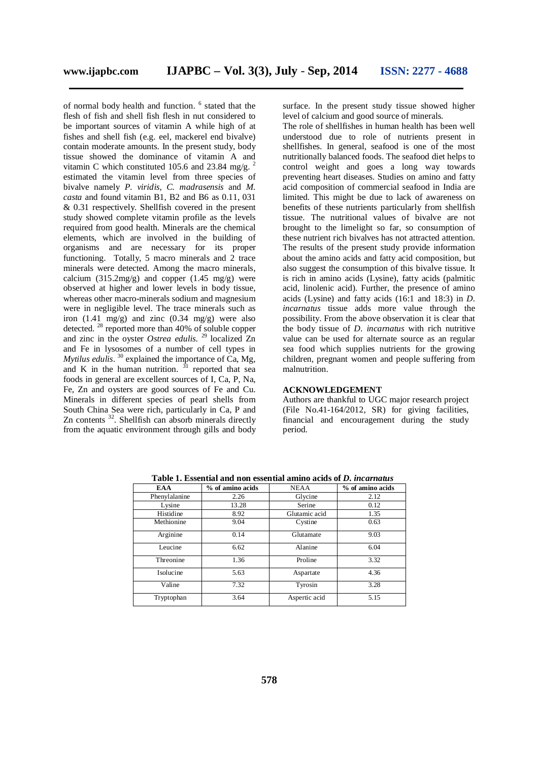of normal body health and function. 6 stated that the flesh of fish and shell fish flesh in nut considered to be important sources of vitamin A while high of at fishes and shell fish (e.g. eel, mackerel end bivalve) contain moderate amounts. In the present study, body tissue showed the dominance of vitamin A and vitamin C which constituted 105.6 and 23.84 mg/g. 2 estimated the vitamin level from three species of bivalve namely *P. viridis, C. madrasensis* and *M. casta* and found vitamin B1, B2 and B6 as 0.11, 031 & 0.31 respectively. Shellfish covered in the present study showed complete vitamin profile as the levels required from good health. Minerals are the chemical elements, which are involved in the building of organisms and are necessary for its proper functioning. Totally, 5 macro minerals and 2 trace minerals were detected. Among the macro minerals, calcium  $(315.2 \text{mg/g})$  and copper  $(1.45 \text{mg/g})$  were observed at higher and lower levels in body tissue, whereas other macro-minerals sodium and magnesium were in negligible level. The trace minerals such as iron  $(1.41 \text{ mg/g})$  and zinc  $(0.34 \text{ mg/g})$  were also detected. <sup>28</sup> reported more than 40% of soluble copper and zinc in the oyster *Ostrea edulis*. 29 localized Zn and Fe in lysosomes of a number of cell types in *Mytilus edulis*. 30 explained the importance of Ca, Mg, and K in the human nutrition.  $31$  reported that sea foods in general are excellent sources of I, Ca, P, Na, Fe, Zn and oysters are good sources of Fe and Cu. Minerals in different species of pearl shells from South China Sea were rich, particularly in Ca, P and Zn contents <sup>32</sup>. Shellfish can absorb minerals directly from the aquatic environment through gills and body

surface. In the present study tissue showed higher level of calcium and good source of minerals.

The role of shellfishes in human health has been well understood due to role of nutrients present in shellfishes. In general, seafood is one of the most nutritionally balanced foods. The seafood diet helps to control weight and goes a long way towards preventing heart diseases. Studies on amino and fatty acid composition of commercial seafood in India are limited. This might be due to lack of awareness on benefits of these nutrients particularly from shellfish tissue. The nutritional values of bivalve are not brought to the limelight so far, so consumption of these nutrient rich bivalves has not attracted attention. The results of the present study provide information about the amino acids and fatty acid composition, but also suggest the consumption of this bivalve tissue*.* It is rich in amino acids (Lysine), fatty acids (palmitic acid, linolenic acid). Further, the presence of amino acids (Lysine) and fatty acids (16:1 and 18:3) in *D. incarnatus* tissue adds more value through the possibility. From the above observation it is clear that the body tissue of *D. incarnatus* with rich nutritive value can be used for alternate source as an regular sea food which supplies nutrients for the growing children, pregnant women and people suffering from malnutrition.

# **ACKNOWLEDGEMENT**

Authors are thankful to UGC major research project (File No.41-164/2012, SR) for giving facilities, financial and encouragement during the study period.

| EAA           | % of amino acids | <b>NEAA</b>   | % of amino acids |
|---------------|------------------|---------------|------------------|
| Phenylalanine | 2.26             | Glycine       | 2.12             |
| Lysine        | 13.28            | Serine        | 0.12             |
| Histidine     | 8.92             | Glutamic acid | 1.35             |
| Methionine    | 9.04             | Cystine       | 0.63             |
| Arginine      | 0.14             | Glutamate     | 9.03             |
| Leucine       | 6.62             | Alanine       | 6.04             |
| Threonine     | 1.36             | Proline       | 3.32             |
| Isolucine     | 5.63             | Aspartate     | 4.36             |
| Valine        | 7.32             | Tyrosin       | 3.28             |
| Tryptophan    | 3.64             | Aspertic acid | 5.15             |

**Table 1. Essential and non essential amino acids of** *D. incarnatus*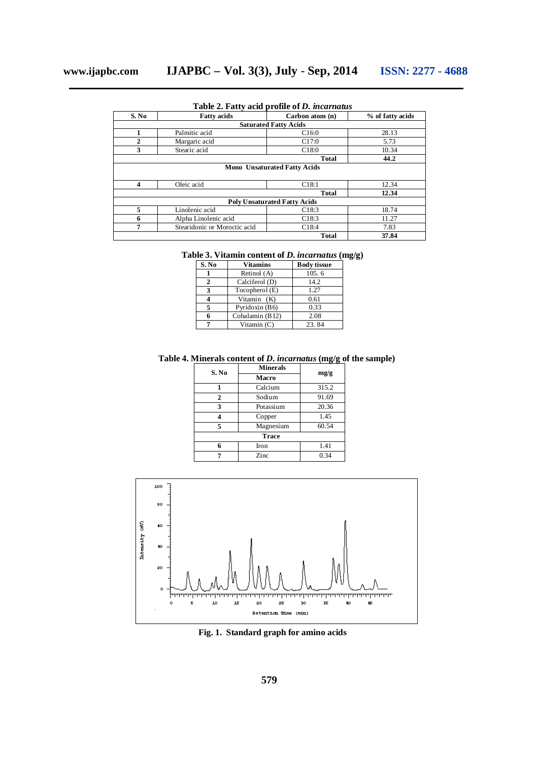| S. No        | <b>Fatty acids</b>           | Carbon atom (n)                     | % of fatty acids |
|--------------|------------------------------|-------------------------------------|------------------|
|              |                              | <b>Saturated Fatty Acids</b>        |                  |
| 1            | Palmitic acid                | C16:0                               | 28.13            |
| $\mathbf{2}$ | Margaric acid                | C17:0                               | 5.73             |
| 3            | Stearic acid                 | C18:0                               | 10.34            |
|              |                              | Total                               | 44.2             |
|              |                              |                                     |                  |
|              |                              |                                     |                  |
| 4            | Oleic acid                   | C18:1                               | 12.34            |
|              |                              | <b>Total</b>                        | 12.34            |
|              |                              | <b>Poly Unsaturated Fatty Acids</b> |                  |
| 5            | Linolenic acid               | C18:3                               | 18.74            |
| 6            | Alpha Linolenic acid         | C18:3                               | 11.27            |
| 7            | Stearidonic or Moroctic acid | C <sub>18:4</sub>                   | 7.83             |

**Table 2. Fatty acid profile of** *D. incarnatus*

|  |  |  |  | Table 3. Vitamin content of <i>D. incarnatus</i> (mg/g) |  |  |  |
|--|--|--|--|---------------------------------------------------------|--|--|--|
|--|--|--|--|---------------------------------------------------------|--|--|--|

| S. No | <b>Vitamins</b>  | <b>Body tissue</b> |
|-------|------------------|--------------------|
|       | Retinol (A)      | 105.6              |
| 2     | Calciferol (D)   | 14.2               |
| 3     | Tocopherol $(E)$ | 1.27               |
|       | Vitamin (K)      | 0.61               |
| 5     | Pyridoxin (B6)   | 0.33               |
|       | Cobalamin (B12)  | 2.08               |
|       | Vitamin $(C)$    | 23.84              |

# **Table 4. Minerals content of** *D. incarnatus* **(mg/g of the sample)**

| S. No          | <b>Minerals</b> |       |  |  |
|----------------|-----------------|-------|--|--|
|                | <b>Macro</b>    | mg/g  |  |  |
|                | Calcium         | 315.2 |  |  |
| $\overline{2}$ | Sodium          | 91.69 |  |  |
| 3              | Potassium       | 20.36 |  |  |
| Δ              | Copper          | 1.45  |  |  |
| 5              | Magnesium       | 60.54 |  |  |
| <b>Trace</b>   |                 |       |  |  |
| 6              | Iron            | 1.41  |  |  |
| 7              | Zinc            | 0.34  |  |  |



**Fig. 1. Standard graph for amino acids**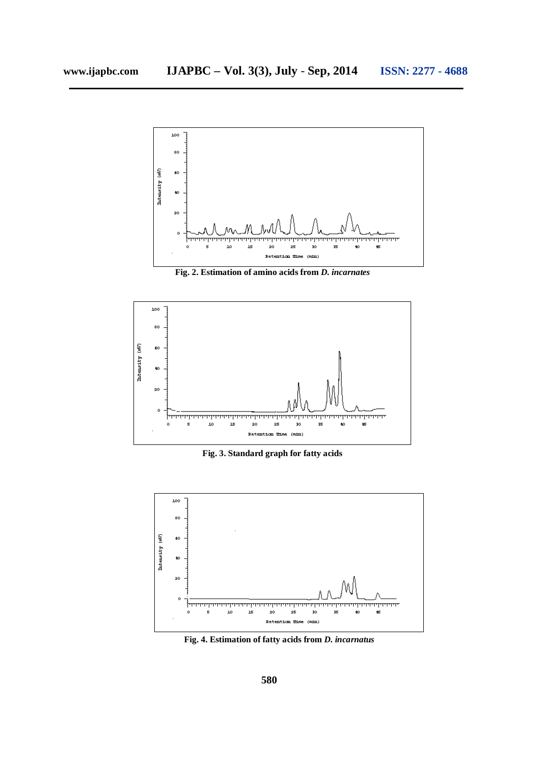

**Fig. 2. Estimation of amino acids from** *D. incarnates*



**Fig. 3. Standard graph for fatty acids**



**Fig. 4. Estimation of fatty acids from** *D. incarnatus*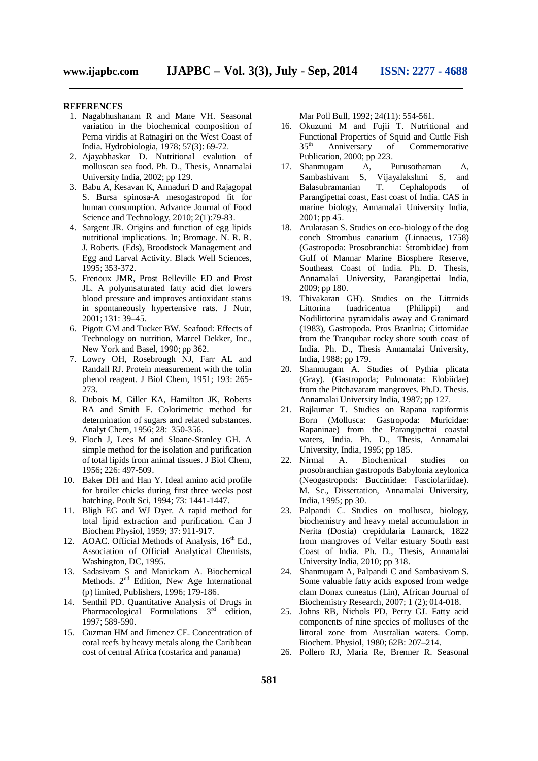#### **REFERENCES**

- 1. Nagabhushanam R and Mane VH. Seasonal variation in the biochemical composition of Perna viridis at Ratnagiri on the West Coast of India. Hydrobiologia, 1978; 57(3): 69-72.
- 2. Ajayabhaskar D. Nutritional evalution of molluscan sea food. Ph. D., Thesis, Annamalai University India, 2002; pp 129.
- 3. Babu A, Kesavan K, Annaduri D and Rajagopal S. Bursa spinosa-A mesogastropod fit for human consumption. Advance Journal of Food Science and Technology, 2010; 2(1):79-83.
- 4. Sargent JR. Origins and function of egg lipids nutritional implications. In; Bromage. N. R. R. J. Roberts. (Eds), Broodstock Management and Egg and Larval Activity. Black Well Sciences, 1995; 353-372.
- 5. Frenoux JMR, Prost Belleville ED and Prost JL. A polyunsaturated fatty acid diet lowers blood pressure and improves antioxidant status in spontaneously hypertensive rats. J Nutr, 2001; 131: 39–45.
- 6. Pigott GM and Tucker BW. Seafood: Effects of Technology on nutrition, Marcel Dekker, Inc., New York and Basel, 1990; pp 362.
- 7. Lowry OH, Rosebrough NJ, Farr AL and Randall RJ. Protein measurement with the tolin phenol reagent. J Biol Chem, 1951; 193: 265- 273.
- 8. Dubois M, Giller KA, Hamilton JK, Roberts RA and Smith F. Colorimetric method for determination of sugars and related substances. Analyt Chem, 1956; 28: 350-356.
- 9. Floch J, Lees M and Sloane-Stanley GH. A simple method for the isolation and purification of total lipids from animal tissues. J Biol Chem, 1956; 226: 497-509.
- 10. Baker DH and Han Y. Ideal amino acid profile for broiler chicks during first three weeks post hatching. Poult Sci, 1994; 73: 1441-1447.
- 11. Bligh EG and WJ Dyer. A rapid method for total lipid extraction and purification. Can J Biochem Physiol, 1959; 37: 911-917.
- 12. AOAC. Official Methods of Analysis, 16<sup>th</sup> Ed., Association of Official Analytical Chemists, Washington, DC, 1995.
- 13. Sadasivam S and Manickam A. Biochemical Methods. 2<sup>nd</sup> Edition, New Age International (p) limited, Publishers, 1996; 179-186.
- 14. Senthil PD. Quantitative Analysis of Drugs in Pharmacological Formulations 3<sup>rd</sup> edition, 1997; 589-590.
- 15. Guzman HM and Jimenez CE. Concentration of coral reefs by heavy metals along the Caribbean cost of central Africa (costarica and panama)

Mar Poll Bull, 1992; 24(11): 554-561.

- 16. Okuzumi M and Fujii T. Nutritional and Functional Properties of Squid and Cuttle Fish  $35<sup>th</sup>$ Anniversary of Commemorative Publication, 2000; pp 223.
- 17. Shanmugam A, Purusothaman A, Sambashivam S, Vijayalakshmi S, and Balasubramanian T. Cephalopods of Parangipettai coast, East coast of India. CAS in marine biology, Annamalai University India, 2001; pp 45.
- 18. Arularasan S. Studies on eco-biology of the dog conch Strombus canarium (Linnaeus, 1758) (Gastropoda: Prosobranchia: Strombidae) from Gulf of Mannar Marine Biosphere Reserve, Southeast Coast of India. Ph. D. Thesis, Annamalai University, Parangipettai India, 2009; pp 180.
- 19. Thivakaran GH). Studies on the Littrnids Littorina fuadricentua (Philippi) and Nodilittorina pyramidalis away and Granimard (1983), Gastropoda. Pros Branlria; Cittornidae from the Tranqubar rocky shore south coast of India. Ph. D., Thesis Annamalai University, India, 1988; pp 179.
- 20. Shanmugam A. Studies of Pythia plicata (Gray). (Gastropoda; Pulmonata: Elobiidae) from the Pitchavaram mangroves. Ph.D. Thesis. Annamalai University India, 1987; pp 127.
- 21. Rajkumar T. Studies on Rapana rapiformis Born (Mollusca: Gastropoda: Muricidae: Rapaninae) from the Parangipettai coastal waters, India. Ph. D., Thesis, Annamalai University, India, 1995; pp 185.
- 22. Nirmal A. Biochemical studies on prosobranchian gastropods Babylonia zeylonica (Neogastropods: Buccinidae: Fasciolariidae). M. Sc., Dissertation, Annamalai University, India, 1995; pp 30.
- 23. Palpandi C. Studies on mollusca, biology, biochemistry and heavy metal accumulation in Nerita (Dostia) crepidularia Lamarck, 1822 from mangroves of Vellar estuary South east Coast of India. Ph. D., Thesis, Annamalai University India, 2010; pp 318.
- 24. Shanmugam A, Palpandi C and Sambasivam S. Some valuable fatty acids exposed from wedge clam Donax cuneatus (Lin), African Journal of Biochemistry Research, 2007; 1 (2); 014-018.
- 25. Johns RB, Nichols PD, Perry GJ. Fatty acid components of nine species of molluscs of the littoral zone from Australian waters. Comp. Biochem. Physiol, 1980; 62B: 207–214.
- 26. Pollero RJ, Maria Re, Brenner R. Seasonal